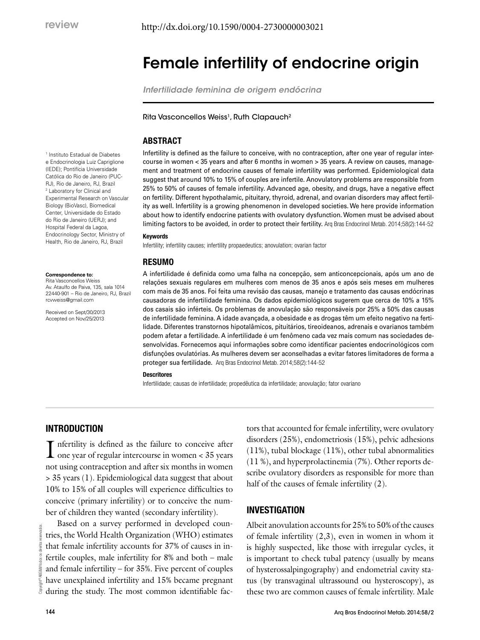# Female infertility of endocrine origin

*Infertilidade feminina de origem endócrina*

## Rita Vasconcellos Weiss<sup>1</sup>, Ruth Clapauch<sup>2</sup>

# ABSTRACT

Infertility is defined as the failure to conceive, with no contraception, after one year of regular intercourse in women < 35 years and after 6 months in women > 35 years. A review on causes, management and treatment of endocrine causes of female infertility was performed. Epidemiological data suggest that around 10% to 15% of couples are infertile. Anovulatory problems are responsible from 25% to 50% of causes of female infertility. Advanced age, obesity, and drugs, have a negative effect on fertility. Different hypothalamic, pituitary, thyroid, adrenal, and ovarian disorders may affect fertility as well. Infertility is a growing phenomenon in developed societies. We here provide information about how to identify endocrine patients with ovulatory dysfunction. Women must be advised about limiting factors to be avoided, in order to protect their fertility. Arq Bras Endocrinol Metab. 2014;58(2):144-52

#### Keywords

Infertility; infertility causes; infertility propaedeutics; anovulation; ovarian factor

## RESUMO

A infertilidade é definida como uma falha na concepção, sem anticoncepcionais, após um ano de relações sexuais regulares em mulheres com menos de 35 anos e após seis meses em mulheres com mais de 35 anos. Foi feita uma revisão das causas, manejo e tratamento das causas endócrinas causadoras de infertilidade feminina. Os dados epidemiológicos sugerem que cerca de 10% a 15% dos casais são inférteis. Os problemas de anovulação são responsáveis por 25% a 50% das causas de infertilidade feminina. A idade avançada, a obesidade e as drogas têm um efeito negativo na fertilidade. Diferentes transtornos hipotalâmicos, pituitários, tireoideanos, adrenais e ovarianos também podem afetar a fertilidade. A infertilidade é um fenômeno cada vez mais comum nas sociedades desenvolvidas. Fornecemos aqui informações sobre como identificar pacientes endocrinológicos com disfunções ovulatórias. As mulheres devem ser aconselhadas a evitar fatores limitadores de forma a proteger sua fertilidade. Arq Bras Endocrinol Metab. 2014;58(2):144-52

#### **Descritores**

Infertilidade; causas de infertilidade; propedêutica da infertilidade; anovulação; fator ovariano

# INTRODUCTION

I nfertility is defined as the failure to conceive after one year of regular intercourse in women < 35 years not using contraception and after six months in women > 35 years (1). Epidemiological data suggest that about 10% to 15% of all couples will experience difficulties to conceive (primary infertility) or to conceive the number of children they wanted (secondary infertility).

Based on a survey performed in developed countries, the World Health Organization (WHO) estimates that female infertility accounts for 37% of causes in infertile couples, male infertility for 8% and both – male and female infertility – for 35%. Five percent of couples have unexplained infertility and 15% became pregnant ğ during the study. The most common identifiable fac(11 %), and hyperprolactinemia (7%). Other reports describe ovulatory disorders as responsible for more than half of the causes of female infertility (2). INVESTIGATION

Albeit anovulation accounts for 25% to 50% of the causes of female infertility (2,3), even in women in whom it is highly suspected, like those with irregular cycles, it is important to check tubal patency (usually by means of hysterossalpingography) and endometrial cavity status (by transvaginal ultrassound ou hysteroscopy), as these two are common causes of female infertility. Male

tors that accounted for female infertility, were ovulatory disorders (25%), endometriosis (15%), pelvic adhesions (11%), tubal blockage (11%), other tubal abnormalities

1 Instituto Estadual de Diabetes e Endocrinologia Luiz Capriglione (IEDE); Pontifícia Universidade Católica do Rio de Janeiro (PUC-RJ), Rio de Janeiro, RJ, Brazil 2 Laboratory for Clinical and Experimental Research on Vascular Biology (BioVasc), Biomedical Center, Universidade do Estado do Rio de Janeiro (UERJ); and Hospital Federal da Lagoa, Endocrinology Sector, Ministry of Health, Rio de Janeiro, RJ, Brazil

#### **Correspondence to:**

Rita Vasconcellos Weiss Av. Ataulfo de Paiva, 135, sala 1014 22440-901 – Rio de Janeiro, RJ, Brazil rcvweiss@gmail.com

Received on Sept/30/2013 Accepted on Nov/25/2013

Copyright© ABE&M todos os direitos reservados.

right® ABE&M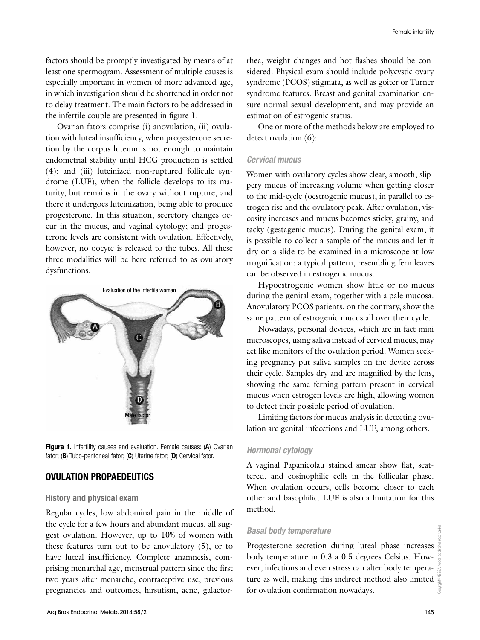factors should be promptly investigated by means of at least one spermogram. Assessment of multiple causes is especially important in women of more advanced age, in which investigation should be shortened in order not to delay treatment. The main factors to be addressed in the infertile couple are presented in figure 1.

Ovarian fators comprise (i) anovulation, (ii) ovulation with luteal insufficiency, when progesterone secretion by the corpus luteum is not enough to maintain endometrial stability until HCG production is settled  $(4)$ ; and  $(iii)$  luteinized non-ruptured follicule syndrome (LUF), when the follicle develops to its maturity, but remains in the ovary without rupture, and there it undergoes luteinization, being able to produce progesterone. In this situation, secretory changes occur in the mucus, and vaginal cytology; and progesterone levels are consistent with ovulation. Effectively, however, no oocyte is released to the tubes. All these three modalities will be here referred to as ovulatory dysfunctions.



Figura 1. Infertility causes and evaluation. Female causes: (A) Ovarian fator; (B) Tubo-peritoneal fator; (C) Uterine fator; (D) Cervical fator.

## OVULATION PROPAEDEUTICS

#### History and physical exam

Regular cycles, low abdominal pain in the middle of the cycle for a few hours and abundant mucus, all suggest ovulation. However, up to 10% of women with these features turn out to be anovulatory (5), or to have luteal insufficiency. Complete anamnesis, comprising menarchal age, menstrual pattern since the first two years after menarche, contraceptive use, previous pregnancies and outcomes, hirsutism, acne, galactorrhea, weight changes and hot flashes should be considered. Physical exam should include polycystic ovary syndrome (PCOS) stigmata, as well as goiter or Turner syndrome features. Breast and genital examination ensure normal sexual development, and may provide an estimation of estrogenic status.

One or more of the methods below are employed to detect ovulation (6):

#### Cervical mucus

Women with ovulatory cycles show clear, smooth, slippery mucus of increasing volume when getting closer to the mid-cycle (oestrogenic mucus), in parallel to estrogen rise and the ovulatory peak. After ovulation, viscosity increases and mucus becomes sticky, grainy, and tacky (gestagenic mucus). During the genital exam, it is possible to collect a sample of the mucus and let it dry on a slide to be examined in a microscope at low magnification: a typical pattern, resembling fern leaves can be observed in estrogenic mucus.

Hypoestrogenic women show little or no mucus during the genital exam, together with a pale mucosa. Anovulatory PCOS patients, on the contrary, show the same pattern of estrogenic mucus all over their cycle.

Nowadays, personal devices, which are in fact mini microscopes, using saliva instead of cervical mucus, may act like monitors of the ovulation period. Women seeking pregnancy put saliva samples on the device across their cycle. Samples dry and are magnified by the lens, showing the same ferning pattern present in cervical mucus when estrogen levels are high, allowing women to detect their possible period of ovulation.

Limiting factors for mucus analysis in detecting ovulation are genital infecctions and LUF, among others.

## Hormonal cytology

A vaginal Papanicolau stained smear show flat, scattered, and eosinophilic cells in the follicular phase. When ovulation occurs, cells become closer to each other and basophilic. LUF is also a limitation for this method.

#### Basal body temperature

Progesterone secretion during luteal phase increases body temperature in 0.3 a 0.5 degrees Celsius. However, infections and even stress can alter body temperature as well, making this indirect method also limited for ovulation confirmation nowadays.

Copyright© ABE&M todos os direitos reservados.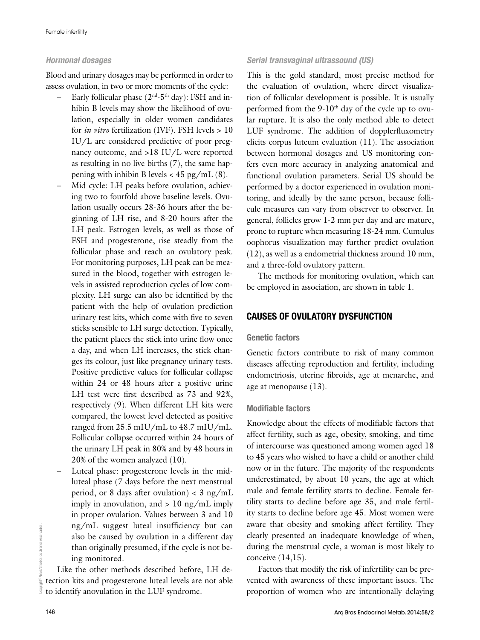## Hormonal dosages

Blood and urinary dosages may be performed in order to assess ovulation, in two or more moments of the cycle:

- Early follicular phase  $(2<sup>nd-5<sup>th</sup></sup> day)$ : FSH and inhibin B levels may show the likelihood of ovulation, especially in older women candidates for *in vitro* fertilization (IVF). FSH levels > 10 IU/L are considered predictive of poor pregnancy outcome, and >18 IU/L were reported as resulting in no live births (7), the same happening with inhibin B levels  $< 45$  pg/mL  $(8)$ .
- Mid cycle: LH peaks before ovulation, achieving two to fourfold above baseline levels. Ovulation usually occurs 28-36 hours after the beginning of LH rise, and 8-20 hours after the LH peak. Estrogen levels, as well as those of FSH and progesterone, rise steadly from the follicular phase and reach an ovulatory peak. For monitoring purposes, LH peak can be measured in the blood, together with estrogen levels in assisted reproduction cycles of low complexity. LH surge can also be identified by the patient with the help of ovulation prediction urinary test kits, which come with five to seven sticks sensible to LH surge detection. Typically, the patient places the stick into urine flow once a day, and when LH increases, the stick changes its colour, just like pregnancy urinary tests. Positive predictive values for follicular collapse within 24 or 48 hours after a positive urine LH test were first described as 73 and 92%, respectively (9). When different LH kits were compared, the lowest level detected as positive ranged from 25.5 mIU/mL to 48.7 mIU/mL. Follicular collapse occurred within 24 hours of the urinary LH peak in 80% and by 48 hours in 20% of the women analyzed (10).
- Luteal phase: progesterone levels in the midluteal phase (7 days before the next menstrual period, or 8 days after ovulation)  $<$  3 ng/mL imply in anovulation, and > 10 ng/mL imply in proper ovulation. Values between 3 and 10 ng/mL suggest luteal insufficiency but can also be caused by ovulation in a different day than originally presumed, if the cycle is not being monitored.

Like the other methods described before, LH detection kits and progesterone luteal levels are not able to identify anovulation in the LUF syndrome.

## Serial transvaginal ultrassound (US)

This is the gold standard, most precise method for the evaluation of ovulation, where direct visualization of follicular development is possible. It is usually performed from the  $9-10<sup>th</sup>$  day of the cycle up to ovular rupture. It is also the only method able to detect LUF syndrome. The addition of dopplerfluxometry elicits corpus luteum evaluation (11). The association between hormonal dosages and US monitoring confers even more accuracy in analyzing anatomical and functional ovulation parameters. Serial US should be performed by a doctor experienced in ovulation monitoring, and ideally by the same person, because follicule measures can vary from observer to observer. In general, follicles grow 1-2 mm per day and are mature, prone to rupture when measuring 18-24 mm. Cumulus oophorus visualization may further predict ovulation (12), as well as a endometrial thickness around 10 mm, and a three-fold ovulatory pattern.

The methods for monitoring ovulation, which can be employed in association, are shown in table 1.

## CAUSES OF OVULATORY DYSFUNCTION

## Genetic factors

Genetic factors contribute to risk of many common diseases affecting reproduction and fertility, including endometriosis, uterine fibroids, age at menarche, and age at menopause (13).

## Modifiable factors

Knowledge about the effects of modifiable factors that affect fertility, such as age, obesity, smoking, and time of intercourse was questioned among women aged 18 to 45 years who wished to have a child or another child now or in the future. The majority of the respondents underestimated, by about 10 years, the age at which male and female fertility starts to decline. Female fertility starts to decline before age 35, and male fertility starts to decline before age 45. Most women were aware that obesity and smoking affect fertility. They clearly presented an inadequate knowledge of when, during the menstrual cycle, a woman is most likely to conceive (14,15).

Factors that modify the risk of infertility can be prevented with awareness of these important issues. The proportion of women who are intentionally delaying

Copyright© ABE&M todos os direitos reservados.

Š

eservadas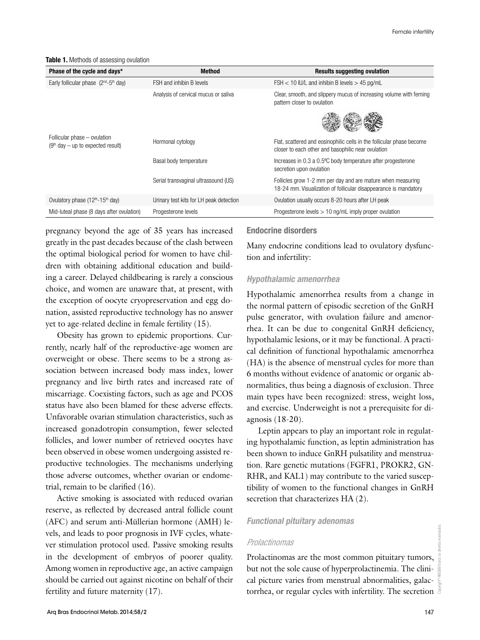Table 1. Methods of assessing ovulation

| Phase of the cycle and days*                                        | Method                                  | <b>Results suggesting ovulation</b>                                                                                             |
|---------------------------------------------------------------------|-----------------------------------------|---------------------------------------------------------------------------------------------------------------------------------|
| Early follicular phase $(2^{nd} - 5^{th}$ day)                      | FSH and inhibin B levels                | $FSH < 10$ IU/L and inhibin B levels $> 45$ pg/mL                                                                               |
| Follicular phase – ovulation<br>$(9th$ day – up to expected result) | Analysis of cervical mucus or saliva    | Clear, smooth, and slippery mucus of increasing volume with ferning<br>pattern closer to ovulation                              |
|                                                                     |                                         |                                                                                                                                 |
|                                                                     | Hormonal cytology                       | Flat, scattered and eosinophilic cells in the follicular phase become<br>closer to each other and basophilic near ovulation     |
|                                                                     | Basal body temperature                  | Increases in 0.3 a 0.5°C body temperature after progesterone<br>secretion upon ovulation                                        |
|                                                                     | Serial transvaginal ultrassound (US)    | Follicles grow 1-2 mm per day and are mature when measuring<br>18-24 mm. Visualization of follicular disappearance is mandatory |
| Ovulatory phase (12 <sup>th</sup> -15 <sup>th</sup> day)            | Urinary test kits for LH peak detection | Ovulation usually occurs 8-20 hours after LH peak                                                                               |
| Mid-luteal phase (8 days after ovulation)                           | Progesterone levels                     | Progesterone levels $> 10$ ng/mL imply proper ovulation                                                                         |

pregnancy beyond the age of 35 years has increased greatly in the past decades because of the clash between the optimal biological period for women to have children with obtaining additional education and building a career. Delayed childbearing is rarely a conscious choice, and women are unaware that, at present, with the exception of oocyte cryopreservation and egg donation, assisted reproductive technology has no answer yet to age-related decline in female fertility (15).

Obesity has grown to epidemic proportions. Currently, nearly half of the reproductive-age women are overweight or obese. There seems to be a strong association between increased body mass index, lower pregnancy and live birth rates and increased rate of miscarriage. Coexisting factors, such as age and PCOS status have also been blamed for these adverse effects. Unfavorable ovarian stimulation characteristics, such as increased gonadotropin consumption, fewer selected follicles, and lower number of retrieved oocytes have been observed in obese women undergoing assisted reproductive technologies. The mechanisms underlying those adverse outcomes, whether ovarian or endometrial, remain to be clarified (16).

Active smoking is associated with reduced ovarian reserve, as reflected by decreased antral follicle count (AFC) and serum anti-Müllerian hormone (AMH) levels, and leads to poor prognosis in IVF cycles, whatever stimulation protocol used. Passive smoking results in the development of embryos of poorer quality. Among women in reproductive age, an active campaign should be carried out against nicotine on behalf of their fertility and future maternity (17).

## Endocrine disorders

Many endocrine conditions lead to ovulatory dysfunction and infertility:

#### Hypothalamic amenorrhea

Hypothalamic amenorrhea results from a change in the normal pattern of episodic secretion of the GnRH pulse generator, with ovulation failure and amenorrhea. It can be due to congenital GnRH deficiency, hypothalamic lesions, or it may be functional. A practical definition of functional hypothalamic amenorrhea (HA) is the absence of menstrual cycles for more than 6 months without evidence of anatomic or organic abnormalities, thus being a diagnosis of exclusion. Three main types have been recognized: stress, weight loss, and exercise. Underweight is not a prerequisite for diagnosis (18-20).

Leptin appears to play an important role in regulating hypothalamic function, as leptin administration has been shown to induce GnRH pulsatility and menstruation. Rare genetic mutations (FGFR1, PROKR2, GN-RHR, and KAL1) may contribute to the varied susceptibility of women to the functional changes in GnRH secretion that characterizes HA (2).

## Functional pituitary adenomas

#### *Prolactinomas*

Prolactinomas are the most common pituitary tumors, but not the sole cause of hyperprolactinemia. The clinical picture varies from menstrual abnormalities, galactorrhea, or regular cycles with infertility. The secretion

Copyright© ABE&M todos os direitos reservados.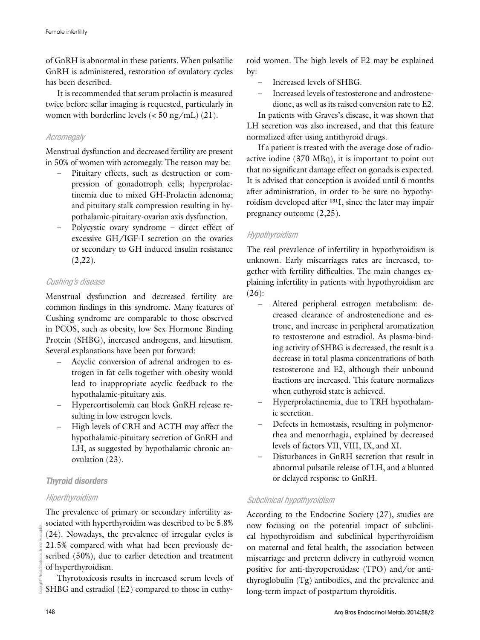of GnRH is abnormal in these patients. When pulsatilie GnRH is administered, restoration of ovulatory cycles has been described.

It is recommended that serum prolactin is measured twice before sellar imaging is requested, particularly in women with borderline levels  $( $50 \text{ ng/mL}$ ) (21).$ 

## *Acromegaly*

Menstrual dysfunction and decreased fertility are present in 50% of women with acromegaly. The reason may be:

- Pituitary effects, such as destruction or compression of gonadotroph cells; hyperprolactinemia due to mixed GH-Prolactin adenoma; and pituitary stalk compression resulting in hypothalamic-pituitary-ovarian axis dysfunction.
- Polycystic ovary syndrome direct effect of excessive GH/IGF-I secretion on the ovaries or secondary to GH induced insulin resistance  $(2,22)$ .

## *Cushing's disease*

Menstrual dysfunction and decreased fertility are common findings in this syndrome. Many features of Cushing syndrome are comparable to those observed in PCOS, such as obesity, low Sex Hormone Binding Protein (SHBG), increased androgens, and hirsutism. Several explanations have been put forward:

- Acyclic conversion of adrenal androgen to estrogen in fat cells together with obesity would lead to inappropriate acyclic feedback to the hypothalamic-pituitary axis.
- Hypercortisolemia can block GnRH release resulting in low estrogen levels.
- High levels of CRH and ACTH may affect the hypothalamic-pituitary secretion of GnRH and LH, as suggested by hypothalamic chronic anovulation (23).

## Thyroid disorders

## *Hiperthyroidism*

The prevalence of primary or secondary infertility associated with hyperthyroidim was described to be 5.8% (24). Nowadays, the prevalence of irregular cycles is 21.5% compared with what had been previously described (50%), due to earlier detection and treatment of hyperthyroidism.

Copyright© ABE&M todos os direitos reservados. Thyrotoxicosis results in increased serum levels of SHBG and estradiol (E2) compared to those in euthyroid women. The high levels of E2 may be explained by:

- Increased levels of SHBG.
- Increased levels of testosterone and androstenedione, as well as its raised conversion rate to E2.

In patients with Graves's disease, it was shown that LH secretion was also increased, and that this feature normalized after using antithyroid drugs.

If a patient is treated with the average dose of radioactive iodine (370 MBq), it is important to point out that no significant damage effect on gonads is expected. It is advised that conception is avoided until 6 months after administration, in order to be sure no hypothyroidism developed after <sup>131</sup>I, since the later may impair pregnancy outcome (2,25).

# *Hypothyroidism*

The real prevalence of infertility in hypothyroidism is unknown. Early miscarriages rates are increased, together with fertility difficulties. The main changes explaining infertility in patients with hypothyroidism are (26):

- Altered peripheral estrogen metabolism: decreased clearance of androstenedione and estrone, and increase in peripheral aromatization to testosterone and estradiol. As plasma-binding activity of SHBG is decreased, the result is a decrease in total plasma concentrations of both testosterone and E2, although their unbound fractions are increased. This feature normalizes when euthyroid state is achieved.
- Hyperprolactinemia, due to TRH hypothalamic secretion.
- Defects in hemostasis, resulting in polymenorrhea and menorrhagia, explained by decreased levels of factors VII, VIII, IX, and XI.
- Disturbances in GnRH secretion that result in abnormal pulsatile release of LH, and a blunted or delayed response to GnRH.

## *Subclinical hypothyroidism*

According to the Endocrine Society (27), studies are now focusing on the potential impact of subclinical hypothyroidism and subclinical hyperthyroidism on maternal and fetal health, the association between miscarriage and preterm delivery in euthyroid women positive for anti-thyroperoxidase (TPO) and/or antithyroglobulin (Tg) antibodies, and the prevalence and long-term impact of postpartum thyroiditis.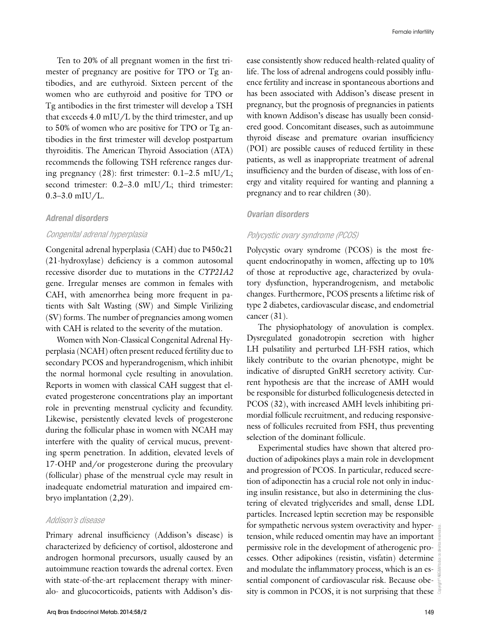Ten to 20% of all pregnant women in the first trimester of pregnancy are positive for TPO or Tg antibodies, and are euthyroid. Sixteen percent of the women who are euthyroid and positive for TPO or Tg antibodies in the first trimester will develop a TSH that exceeds 4.0 mIU/L by the third trimester, and up to 50% of women who are positive for TPO or Tg antibodies in the first trimester will develop postpartum thyroiditis. The American Thyroid Association (ATA) recommends the following TSH reference ranges during pregnancy  $(28)$ : first trimester:  $0.1-2.5$  mIU/L; second trimester: 0.2–3.0 mIU/L; third trimester: 0.3–3.0 mIU/L.

## Adrenal disorders

#### *Congenital adrenal hyperplasia*

Congenital adrenal hyperplasia (CAH) due to P450c21 (21-hydroxylase) deficiency is a common autosomal recessive disorder due to mutations in the *CYP21A2*  gene. Irregular menses are common in females with CAH, with amenorrhea being more frequent in patients with Salt Wasting (SW) and Simple Virilizing (SV) forms. The number of pregnancies among women with CAH is related to the severity of the mutation.

Women with Non-Classical Congenital Adrenal Hyperplasia (NCAH) often present reduced fertility due to secondary PCOS and hyperandrogenism, which inhibit the normal hormonal cycle resulting in anovulation. Reports in women with classical CAH suggest that elevated progesterone concentrations play an important role in preventing menstrual cyclicity and fecundity. Likewise, persistently elevated levels of progesterone during the follicular phase in women with NCAH may interfere with the quality of cervical mucus, preventing sperm penetration. In addition, elevated levels of 17-OHP and/or progesterone during the preovulary (follicular) phase of the menstrual cycle may result in inadequate endometrial maturation and impaired embryo implantation (2,29).

## *Addison's disease*

Primary adrenal insufficiency (Addison's disease) is characterized by deficiency of cortisol, aldosterone and androgen hormonal precursors, usually caused by an autoimmune reaction towards the adrenal cortex. Even with state-of-the-art replacement therapy with mineralo- and glucocorticoids, patients with Addison's disease consistently show reduced health-related quality of life. The loss of adrenal androgens could possibly influence fertility and increase in spontaneous abortions and has been associated with Addison's disease present in pregnancy, but the prognosis of pregnancies in patients with known Addison's disease has usually been considered good. Concomitant diseases, such as autoimmune thyroid disease and premature ovarian insufficiency (POI) are possible causes of reduced fertility in these patients, as well as inappropriate treatment of adrenal insufficiency and the burden of disease, with loss of energy and vitality required for wanting and planning a pregnancy and to rear children (30).

## Ovarian disorders

## *Polycystic ovary syndrome (PCOS)*

Polycystic ovary syndrome (PCOS) is the most frequent endocrinopathy in women, affecting up to 10% of those at reproductive age, characterized by ovulatory dysfunction, hyperandrogenism, and metabolic changes. Furthermore, PCOS presents a lifetime risk of type 2 diabetes, cardiovascular disease, and endometrial cancer (31).

The physiophatology of anovulation is complex. Dysregulated gonadotropin secretion with higher LH pulsatility and perturbed LH-FSH ratios, which likely contribute to the ovarian phenotype, might be indicative of disrupted GnRH secretory activity. Current hypothesis are that the increase of AMH would be responsible for disturbed folliculogenesis detected in PCOS (32), with increased AMH levels inhibiting primordial follicule recruitment, and reducing responsiveness of follicules recruited from FSH, thus preventing selection of the dominant follicule.

Experimental studies have shown that altered production of adipokines plays a main role in development and progression of PCOS. In particular, reduced secretion of adiponectin has a crucial role not only in inducing insulin resistance, but also in determining the clustering of elevated triglycerides and small, dense LDL particles. Increased leptin secretion may be responsible for sympathetic nervous system overactivity and hypertension, while reduced omentin may have an important permissive role in the development of atherogenic processes. Other adipokines (resistin, visfatin) determine and modulate the inflammatory process, which is an es- $\frac{1}{3}$ sential component of cardiovascular risk. Because obesity is common in PCOS, it is not surprising that these  $\frac{8}{5}$ 

Copyright© ABE&M todos os direitos reservados.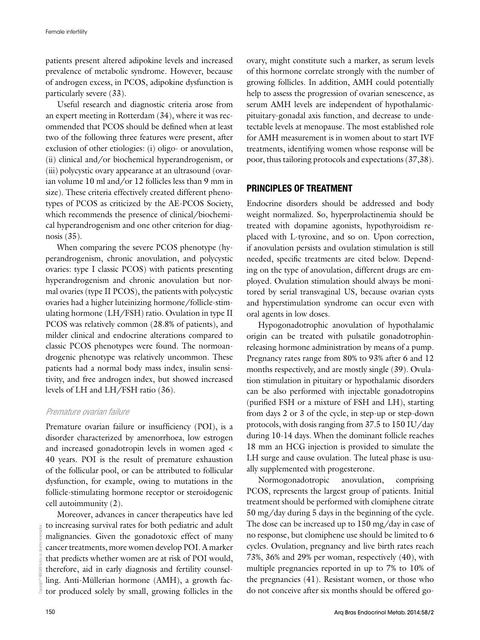patients present altered adipokine levels and increased prevalence of metabolic syndrome. However, because of androgen excess, in PCOS, adipokine dysfunction is particularly severe (33).

Useful research and diagnostic criteria arose from an expert meeting in Rotterdam (34), where it was recommended that PCOS should be defined when at least two of the following three features were present, after exclusion of other etiologies: (i) oligo- or anovulation, (ii) clinical and/or biochemical hyperandrogenism, or (iii) polycystic ovary appearance at an ultrasound (ovarian volume 10 ml and/or 12 follicles less than 9 mm in size). These criteria effectively created different phenotypes of PCOS as criticized by the AE-PCOS Society, which recommends the presence of clinical/biochemical hyperandrogenism and one other criterion for diagnosis (35).

When comparing the severe PCOS phenotype (hyperandrogenism, chronic anovulation, and polycystic ovaries: type I classic PCOS) with patients presenting hyperandrogenism and chronic anovulation but normal ovaries (type II PCOS), the patients with polycystic ovaries had a higher luteinizing hormone/follicle-stimulating hormone (LH/FSH) ratio. Ovulation in type II PCOS was relatively common (28.8% of patients), and milder clinical and endocrine alterations compared to classic PCOS phenotypes were found. The normoandrogenic phenotype was relatively uncommon. These patients had a normal body mass index, insulin sensitivity, and free androgen index, but showed increased levels of LH and LH/FSH ratio (36).

## *Premature ovarian failure*

Premature ovarian failure or insufficiency (POI), is a disorder characterized by amenorrhoea, low estrogen and increased gonadotropin levels in women aged < 40 years. POI is the result of premature exhaustion of the follicular pool, or can be attributed to follicular dysfunction, for example, owing to mutations in the follicle-stimulating hormone receptor or steroidogenic cell autoimmunity (2).

Moreover, advances in cancer therapeutics have led to increasing survival rates for both pediatric and adult malignancies. Given the gonadotoxic effect of many cancer treatments, more women develop POI. A marker that predicts whether women are at risk of POI would, therefore, aid in early diagnosis and fertility counselling. Anti-Müllerian hormone (AMH), a growth factor produced solely by small, growing follicles in the ovary, might constitute such a marker, as serum levels of this hormone correlate strongly with the number of growing follicles. In addition, AMH could potentially help to assess the progression of ovarian senescence, as serum AMH levels are independent of hypothalamicpituitary-gonadal axis function, and decrease to undetectable levels at menopause. The most established role for AMH measurement is in women about to start IVF treatments, identifying women whose response will be poor, thus tailoring protocols and expectations (37,38).

## PRINCIPLES OF TREATMENT

Endocrine disorders should be addressed and body weight normalized. So, hyperprolactinemia should be treated with dopamine agonists, hypothyroidism replaced with L-tyroxine, and so on. Upon correction, if anovulation persists and ovulation stimulation is still needed, specific treatments are cited below. Depending on the type of anovulation, different drugs are employed. Ovulation stimulation should always be monitored by serial transvaginal US, because ovarian cysts and hyperstimulation syndrome can occur even with oral agents in low doses.

Hypogonadotrophic anovulation of hypothalamic origin can be treated with pulsatile gonadotrophinreleasing hormone administration by means of a pump. Pregnancy rates range from 80% to 93% after 6 and 12 months respectively, and are mostly single (39). Ovulation stimulation in pituitary or hypothalamic disorders can be also performed with injectable gonadotropins (purified FSH or a mixture of FSH and LH), starting from days 2 or 3 of the cycle, in step-up or step-down protocols, with dosis ranging from 37.5 to 150 IU/day during 10-14 days. When the dominant follicle reaches 18 mm an HCG injection is provided to simulate the LH surge and cause ovulation. The luteal phase is usually supplemented with progesterone.

Normogonadotropic anovulation, comprising PCOS, represents the largest group of patients. Initial treatment should be performed with clomiphene citrate 50 mg/day during 5 days in the beginning of the cycle. The dose can be increased up to 150 mg/day in case of no response, but clomiphene use should be limited to 6 cycles. Ovulation, pregnancy and live birth rates reach 73%, 36% and 29% per woman, respectively (40), with multiple pregnancies reported in up to 7% to 10% of the pregnancies (41). Resistant women, or those who do not conceive after six months should be offered go-

Copyright© ABE&M todos os direitos reservados.

Š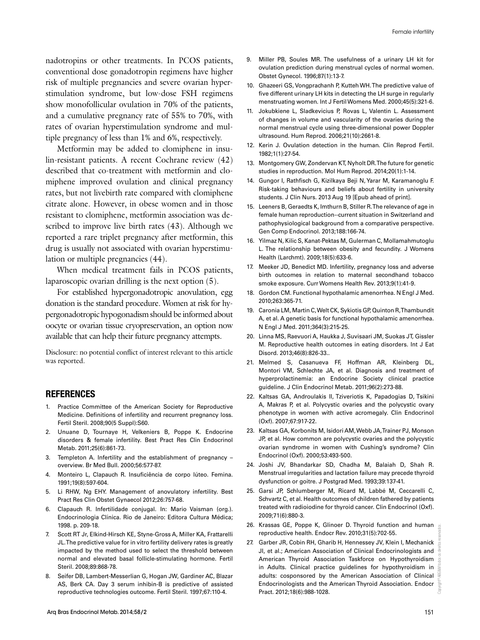nadotropins or other treatments. In PCOS patients, conventional dose gonadotropin regimens have higher risk of multiple pregnancies and severe ovarian hyperstimulation syndrome, but low-dose FSH regimens show monofollicular ovulation in 70% of the patients, and a cumulative pregnancy rate of 55% to 70%, with rates of ovarian hyperstimulation syndrome and multiple pregnancy of less than 1% and 6%, respectively.

Metformin may be added to clomiphene in insulin-resistant patients. A recent Cochrane review (42) described that co-treatment with metformin and clomiphene improved ovulation and clinical pregnancy rates, but not livebirth rate compared with clomiphene citrate alone. However, in obese women and in those resistant to clomiphene, metformin association was described to improve live birth rates (43). Although we reported a rare triplet pregnancy after metformin, this drug is usually not associated with ovarian hyperstimulation or multiple pregnancies (44).

When medical treatment fails in PCOS patients, laparoscopic ovarian drilling is the next option (5).

For established hypergonadotropic anovulation, egg donation is the standard procedure. Women at risk for hypergonadotropic hypogonadism should be informed about oocyte or ovarian tissue cryopreservation, an option now available that can help their future pregnancy attempts.

Disclosure: no potential conflict of interest relevant to this article was reported.

## **REFERENCES**

- 1. Practice Committee of the American Society for Reproductive Medicine. Definitions of infertility and recurrent pregnancy loss. Fertil Steril. 2008;90(5 Suppl):S60.
- 2. Unuane D, Tournaye H, Velkeniers B, Poppe K. Endocrine disorders & female infertility. Best Pract Res Clin Endocrinol Metab. 2011;25(6):861-73.
- 3. Templeton A. Infertility and the establishment of pregnancy overview. Br Med Bull. 2000;56:577-87.
- 4. Monteiro L, Clapauch R. Insuficiência de corpo lúteo. Femina. 1991;19(8):597-604.
- 5. Li RHW, Ng EHY. Management of anovulatory infertility. Best Pract Res Clin Obstet Gynaecol 2012;26:757-68.
- 6. Clapauch R. Infertilidade conjugal. In: Mario Vaisman (org.). Endocrinologia Clínica. Rio de Janeiro: Editora Cultura Médica; 1998. p. 209-18.
- 7. Scott RT Jr, Elkind-Hirsch KE, Styne-Gross A, Miller KA, Frattarelli JL. The predictive value for in vitro fertility delivery rates is greatly impacted by the method used to select the threshold between normal and elevated basal follicle-stimulating hormone. Fertil Steril. 2008;89:868-78.
- 8. Seifer DB, Lambert-Messerlian G, Hogan JW, Gardiner AC, Blazar AS, Berk CA. Day 3 serum inhibin-B is predictive of assisted reproductive technologies outcome. Fertil Steril. 1997;67:110-4.
- 9. Miller PB, Soules MR. The usefulness of a urinary LH kit for ovulation prediction during menstrual cycles of normal women. Obstet Gynecol. 1996;87(1):13-7.
- 10. Ghazeeri GS, Vongprachanh P, Kutteh WH. The predictive value of five different urinary LH kits in detecting the LH surge in regularly menstruating women. Int J Fertil Womens Med. 2000;45(5):321-6.
- 11. Jokubkiene L, Sladkevicius P, Rovas L, Valentin L. Assessment of changes in volume and vascularity of the ovaries during the normal menstrual cycle using three-dimensional power Doppler ultrasound. Hum Reprod. 2006;21(10):2661-8.
- 12. Kerin J. Ovulation detection in the human. Clin Reprod Fertil. 1982;1(1):27-54.
- 13. Montgomery GW, Zondervan KT, Nyholt DR. The future for genetic studies in reproduction. Mol Hum Reprod. 2014;20(1):1-14.
- 14. Gungor I, Rathfisch G, Kizilkaya Beji N, Yarar M, Karamanoglu F. Risk-taking behaviours and beliefs about fertility in university students. J Clin Nurs. 2013 Aug 19 [Epub ahead of print].
- 15. Leeners B, Geraedts K, Imthurn B, Stiller R. The relevance of age in female human reproduction--current situation in Switzerland and pathophysiological background from a comparative perspective. Gen Comp Endocrinol. 2013;188:166-74.
- 16. Yilmaz N, Kilic S, Kanat-Pektas M, Gulerman C, Mollamahmutoglu L. The relationship between obesity and fecundity. J Womens Health (Larchmt). 2009;18(5):633-6.
- 17. Meeker JD, Benedict MD. Infertility, pregnancy loss and adverse birth outcomes in relation to maternal secondhand tobacco smoke exposure. Curr Womens Health Rev. 2013;9(1):41-9.
- 18. Gordon CM. Functional hypothalamic amenorrhea. N Engl J Med. 2010;263:365-71.
- 19. Caronia LM, Martin C, Welt CK, Sykiotis GP, Quinton R, Thambundit A, et al. A genetic basis for functional hypothalamic amenorrhea. N Engl J Med. 2011;364(3):215-25.
- 20. Linna MS, Raevuori A, Haukka J, Suvisaari JM, Suokas JT, Gissler M. Reproductive health outcomes in eating disorders. Int J Eat Disord. 2013;46(8):826-33..
- 21. Melmed S, Casanueva FF, Hoffman AR, Kleinberg DL, Montori VM, Schlechte JA, et al. Diagnosis and treatment of hyperprolactinemia: an Endocrine Society clinical practice guideline. J Clin Endocrinol Metab. 2011;96(2):273-88.
- 22. Kaltsas GA, Androulakis II, Tziveriotis K, Papadogias D, Tsikini A, Makras P, et al. Polycystic ovaries and the polycystic ovary phenotype in women with active acromegaly. Clin Endocrinol (Oxf). 2007;67:917-22.
- 23. Kaltsas GA, Korbonits M, Isidori AM, Webb JA, Trainer PJ, Monson JP, et al. How common are polycystic ovaries and the polycystic ovarian syndrome in women with Cushing's syndrome? Clin Endocrinol (Oxf). 2000;53:493-500.
- 24. Joshi JV, Bhandarkar SD, Chadha M, Balaiah D, Shah R. Menstrual irregularities and lactation failure may precede thyroid dysfunction or goitre. J Postgrad Med. 1993;39:137-41.
- 25. Garsi JP, Schlumberger M, Ricard M, Labbé M, Ceccarelli C, Schvartz C, et al. Health outcomes of children fathered by patients treated with radioiodine for thyroid cancer. Clin Endocrinol (Oxf). 2009;71(6):880-3.
- 26. Krassas GE, Poppe K, Glinoer D. Thyroid function and human reproductive health. Endocr Rev. 2010;31(5):702-55.
- 27. Garber JR, Cobin RH, Gharib H, Hennessey JV, Klein I, Mechanick JI, et al.; American Association of Clinical Endocrinologists and American Thyroid Association Taskforce on Hypothyroidism in Adults. Clinical practice guidelines for hypothyroidism in adults: cosponsored by the American Association of Clinical Endocrinologists and the American Thyroid Association. Endocr Pract. 2012;18(6):988-1028.

Copyright© ABE&M todos os direitos reservados.

opyright